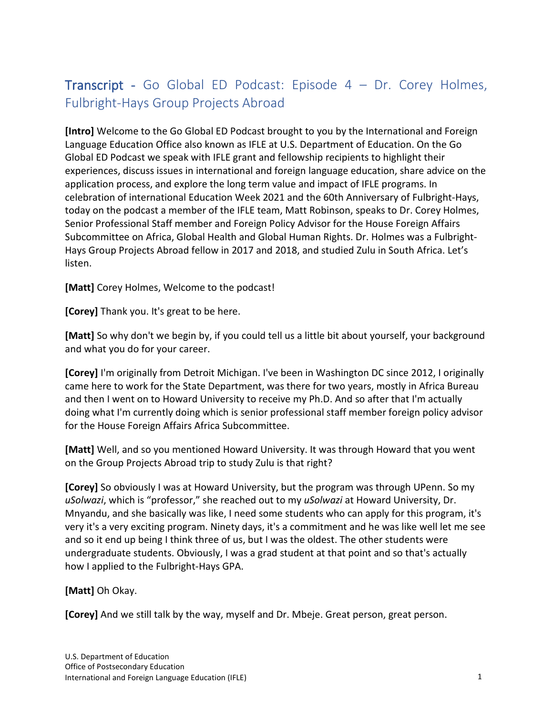## Transcript - Go Global ED Podcast: Episode 4 – Dr. Corey Holmes, Fulbright-Hays Group Projects Abroad

**[Intro]** Welcome to the Go Global ED Podcast brought to you by the International and Foreign Language Education Office also known as IFLE at U.S. Department of Education. On the Go Global ED Podcast we speak with IFLE grant and fellowship recipients to highlight their experiences, discuss issues in international and foreign language education, share advice on the application process, and explore the long term value and impact of IFLE programs. In celebration of international Education Week 2021 and the 60th Anniversary of Fulbright-Hays, today on the podcast a member of the IFLE team, Matt Robinson, speaks to Dr. Corey Holmes, Senior Professional Staff member and Foreign Policy Advisor for the House Foreign Affairs Subcommittee on Africa, Global Health and Global Human Rights. Dr. Holmes was a Fulbright-Hays Group Projects Abroad fellow in 2017 and 2018, and studied Zulu in South Africa. Let's listen.

**[Matt]** Corey Holmes, Welcome to the podcast!

**[Corey]** Thank you. It's great to be here.

**[Matt]** So why don't we begin by, if you could tell us a little bit about yourself, your background and what you do for your career.

**[Corey]** I'm originally from Detroit Michigan. I've been in Washington DC since 2012, I originally came here to work for the State Department, was there for two years, mostly in Africa Bureau and then I went on to Howard University to receive my Ph.D. And so after that I'm actually doing what I'm currently doing which is senior professional staff member foreign policy advisor for the House Foreign Affairs Africa Subcommittee.

**[Matt]** Well, and so you mentioned Howard University. It was through Howard that you went on the Group Projects Abroad trip to study Zulu is that right?

**[Corey]** So obviously I was at Howard University, but the program was through UPenn. So my *uSolwazi*, which is "professor," she reached out to my *uSolwazi* at Howard University, Dr. Mnyandu, and she basically was like, I need some students who can apply for this program, it's very it's a very exciting program. Ninety days, it's a commitment and he was like well let me see and so it end up being I think three of us, but I was the oldest. The other students were undergraduate students. Obviously, I was a grad student at that point and so that's actually how I applied to the Fulbright-Hays GPA.

**[Matt]** Oh Okay.

**[Corey]** And we still talk by the way, myself and Dr. Mbeje. Great person, great person.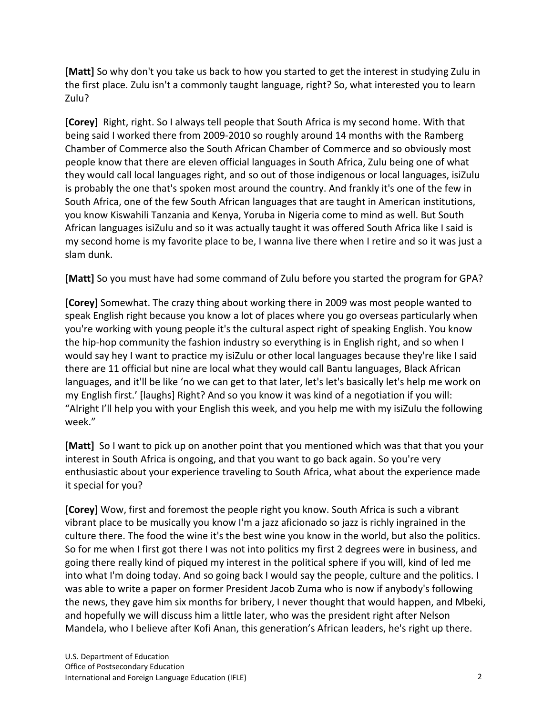**[Matt]** So why don't you take us back to how you started to get the interest in studying Zulu in the first place. Zulu isn't a commonly taught language, right? So, what interested you to learn Zulu?

**[Corey]** Right, right. So I always tell people that South Africa is my second home. With that being said I worked there from 2009-2010 so roughly around 14 months with the Ramberg Chamber of Commerce also the South African Chamber of Commerce and so obviously most people know that there are eleven official languages in South Africa, Zulu being one of what they would call local languages right, and so out of those indigenous or local languages, isiZulu is probably the one that's spoken most around the country. And frankly it's one of the few in South Africa, one of the few South African languages that are taught in American institutions, you know Kiswahili Tanzania and Kenya, Yoruba in Nigeria come to mind as well. But South African languages isiZulu and so it was actually taught it was offered South Africa like I said is my second home is my favorite place to be, I wanna live there when I retire and so it was just a slam dunk.

**[Matt]** So you must have had some command of Zulu before you started the program for GPA?

**[Corey]** Somewhat. The crazy thing about working there in 2009 was most people wanted to speak English right because you know a lot of places where you go overseas particularly when you're working with young people it's the cultural aspect right of speaking English. You know the hip-hop community the fashion industry so everything is in English right, and so when I would say hey I want to practice my isiZulu or other local languages because they're like I said there are 11 official but nine are local what they would call Bantu languages, Black African languages, and it'll be like 'no we can get to that later, let's let's basically let's help me work on my English first.' [laughs] Right? And so you know it was kind of a negotiation if you will: "Alright I'll help you with your English this week, and you help me with my isiZulu the following week."

**[Matt]** So I want to pick up on another point that you mentioned which was that that you your interest in South Africa is ongoing, and that you want to go back again. So you're very enthusiastic about your experience traveling to South Africa, what about the experience made it special for you?

**[Corey]** Wow, first and foremost the people right you know. South Africa is such a vibrant vibrant place to be musically you know I'm a jazz aficionado so jazz is richly ingrained in the culture there. The food the wine it's the best wine you know in the world, but also the politics. So for me when I first got there I was not into politics my first 2 degrees were in business, and going there really kind of piqued my interest in the political sphere if you will, kind of led me into what I'm doing today. And so going back I would say the people, culture and the politics. I was able to write a paper on former President Jacob Zuma who is now if anybody's following the news, they gave him six months for bribery, I never thought that would happen, and Mbeki, and hopefully we will discuss him a little later, who was the president right after Nelson Mandela, who I believe after Kofi Anan, this generation's African leaders, he's right up there.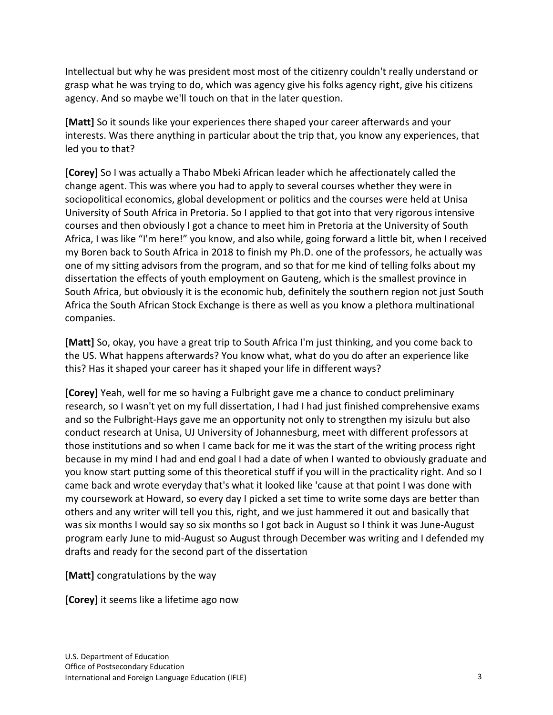Intellectual but why he was president most most of the citizenry couldn't really understand or grasp what he was trying to do, which was agency give his folks agency right, give his citizens agency. And so maybe we'll touch on that in the later question.

**[Matt]** So it sounds like your experiences there shaped your career afterwards and your interests. Was there anything in particular about the trip that, you know any experiences, that led you to that?

**[Corey]** So I was actually a Thabo Mbeki African leader which he affectionately called the change agent. This was where you had to apply to several courses whether they were in sociopolitical economics, global development or politics and the courses were held at Unisa University of South Africa in Pretoria. So I applied to that got into that very rigorous intensive courses and then obviously I got a chance to meet him in Pretoria at the University of South Africa, I was like "I'm here!" you know, and also while, going forward a little bit, when I received my Boren back to South Africa in 2018 to finish my Ph.D. one of the professors, he actually was one of my sitting advisors from the program, and so that for me kind of telling folks about my dissertation the effects of youth employment on Gauteng, which is the smallest province in South Africa, but obviously it is the economic hub, definitely the southern region not just South Africa the South African Stock Exchange is there as well as you know a plethora multinational companies.

**[Matt]** So, okay, you have a great trip to South Africa I'm just thinking, and you come back to the US. What happens afterwards? You know what, what do you do after an experience like this? Has it shaped your career has it shaped your life in different ways?

**[Corey]** Yeah, well for me so having a Fulbright gave me a chance to conduct preliminary research, so I wasn't yet on my full dissertation, I had I had just finished comprehensive exams and so the Fulbright-Hays gave me an opportunity not only to strengthen my isizulu but also conduct research at Unisa, UJ University of Johannesburg, meet with different professors at those institutions and so when I came back for me it was the start of the writing process right because in my mind I had and end goal I had a date of when I wanted to obviously graduate and you know start putting some of this theoretical stuff if you will in the practicality right. And so I came back and wrote everyday that's what it looked like 'cause at that point I was done with my coursework at Howard, so every day I picked a set time to write some days are better than others and any writer will tell you this, right, and we just hammered it out and basically that was six months I would say so six months so I got back in August so I think it was June-August program early June to mid-August so August through December was writing and I defended my drafts and ready for the second part of the dissertation

**[Matt]** congratulations by the way

**[Corey]** it seems like a lifetime ago now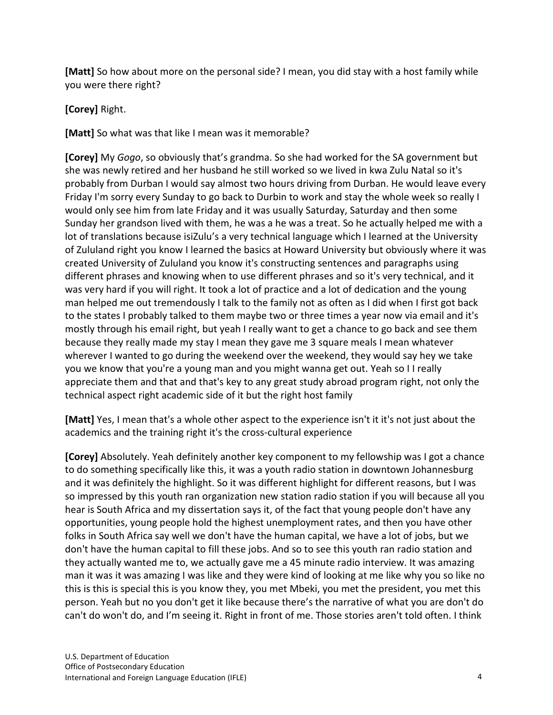**[Matt]** So how about more on the personal side? I mean, you did stay with a host family while you were there right?

**[Corey]** Right.

**[Matt]** So what was that like I mean was it memorable?

**[Corey]** My *Gogo*, so obviously that's grandma. So she had worked for the SA government but she was newly retired and her husband he still worked so we lived in kwa Zulu Natal so it's probably from Durban I would say almost two hours driving from Durban. He would leave every Friday I'm sorry every Sunday to go back to Durbin to work and stay the whole week so really I would only see him from late Friday and it was usually Saturday, Saturday and then some Sunday her grandson lived with them, he was a he was a treat. So he actually helped me with a lot of translations because isiZulu's a very technical language which I learned at the University of Zululand right you know I learned the basics at Howard University but obviously where it was created University of Zululand you know it's constructing sentences and paragraphs using different phrases and knowing when to use different phrases and so it's very technical, and it was very hard if you will right. It took a lot of practice and a lot of dedication and the young man helped me out tremendously I talk to the family not as often as I did when I first got back to the states I probably talked to them maybe two or three times a year now via email and it's mostly through his email right, but yeah I really want to get a chance to go back and see them because they really made my stay I mean they gave me 3 square meals I mean whatever wherever I wanted to go during the weekend over the weekend, they would say hey we take you we know that you're a young man and you might wanna get out. Yeah so I I really appreciate them and that and that's key to any great study abroad program right, not only the technical aspect right academic side of it but the right host family

**[Matt]** Yes, I mean that's a whole other aspect to the experience isn't it it's not just about the academics and the training right it's the cross-cultural experience

**[Corey]** Absolutely. Yeah definitely another key component to my fellowship was I got a chance to do something specifically like this, it was a youth radio station in downtown Johannesburg and it was definitely the highlight. So it was different highlight for different reasons, but I was so impressed by this youth ran organization new station radio station if you will because all you hear is South Africa and my dissertation says it, of the fact that young people don't have any opportunities, young people hold the highest unemployment rates, and then you have other folks in South Africa say well we don't have the human capital, we have a lot of jobs, but we don't have the human capital to fill these jobs. And so to see this youth ran radio station and they actually wanted me to, we actually gave me a 45 minute radio interview. It was amazing man it was it was amazing I was like and they were kind of looking at me like why you so like no this is this is special this is you know they, you met Mbeki, you met the president, you met this person. Yeah but no you don't get it like because there's the narrative of what you are don't do can't do won't do, and I'm seeing it. Right in front of me. Those stories aren't told often. I think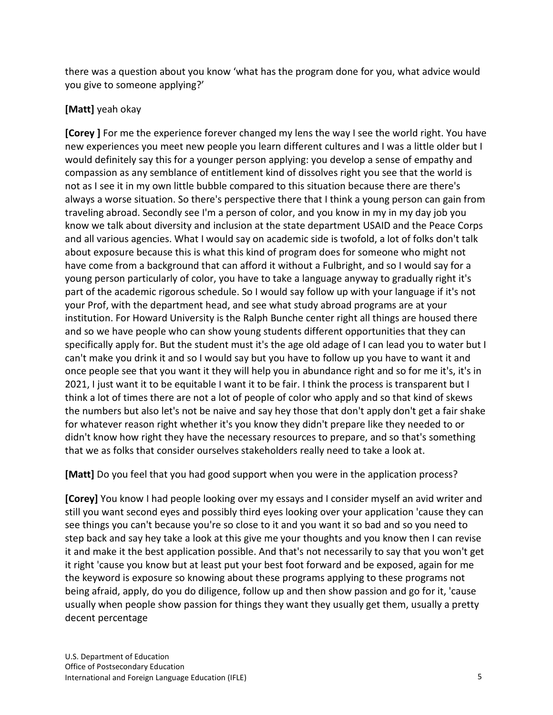there was a question about you know 'what has the program done for you, what advice would you give to someone applying?'

## **[Matt]** yeah okay

**[Corey ]** For me the experience forever changed my lens the way I see the world right. You have new experiences you meet new people you learn different cultures and I was a little older but I would definitely say this for a younger person applying: you develop a sense of empathy and compassion as any semblance of entitlement kind of dissolves right you see that the world is not as I see it in my own little bubble compared to this situation because there are there's always a worse situation. So there's perspective there that I think a young person can gain from traveling abroad. Secondly see I'm a person of color, and you know in my in my day job you know we talk about diversity and inclusion at the state department USAID and the Peace Corps and all various agencies. What I would say on academic side is twofold, a lot of folks don't talk about exposure because this is what this kind of program does for someone who might not have come from a background that can afford it without a Fulbright, and so I would say for a young person particularly of color, you have to take a language anyway to gradually right it's part of the academic rigorous schedule. So I would say follow up with your language if it's not your Prof, with the department head, and see what study abroad programs are at your institution. For Howard University is the Ralph Bunche center right all things are housed there and so we have people who can show young students different opportunities that they can specifically apply for. But the student must it's the age old adage of I can lead you to water but I can't make you drink it and so I would say but you have to follow up you have to want it and once people see that you want it they will help you in abundance right and so for me it's, it's in 2021, I just want it to be equitable I want it to be fair. I think the process is transparent but I think a lot of times there are not a lot of people of color who apply and so that kind of skews the numbers but also let's not be naive and say hey those that don't apply don't get a fair shake for whatever reason right whether it's you know they didn't prepare like they needed to or didn't know how right they have the necessary resources to prepare, and so that's something that we as folks that consider ourselves stakeholders really need to take a look at.

**[Matt]** Do you feel that you had good support when you were in the application process?

**[Corey]** You know I had people looking over my essays and I consider myself an avid writer and still you want second eyes and possibly third eyes looking over your application 'cause they can see things you can't because you're so close to it and you want it so bad and so you need to step back and say hey take a look at this give me your thoughts and you know then I can revise it and make it the best application possible. And that's not necessarily to say that you won't get it right 'cause you know but at least put your best foot forward and be exposed, again for me the keyword is exposure so knowing about these programs applying to these programs not being afraid, apply, do you do diligence, follow up and then show passion and go for it, 'cause usually when people show passion for things they want they usually get them, usually a pretty decent percentage